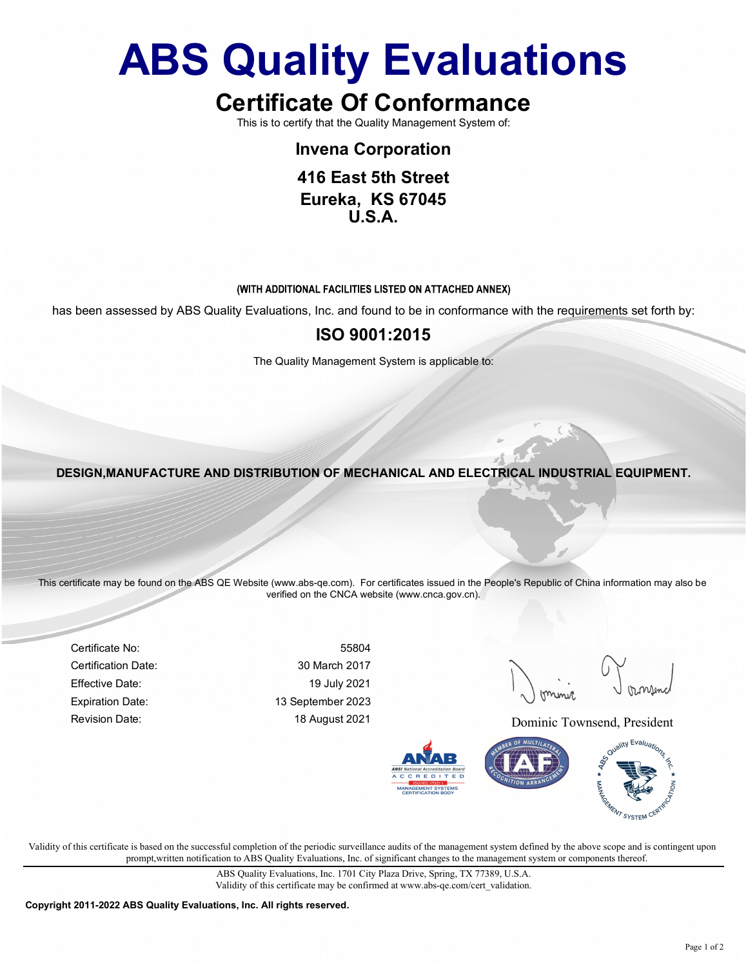### ABS Quality Evaluations Quality Evaluations<br>
ertificate Of Conformance<br>
This is to certify that the Quality Management System of:<br>
Invena Corporation<br>
416 East 5th Street<br>
Fureka KS 67045 **ality Evaluations**<br>
Example 2013<br>
Fulfy that the Quality Management System of:<br>
Invena Corporation<br>
416 East 5th Street<br>
Eureka, KS 67045<br>
U.S.A. **ality Evaluations**<br>ate Of Conformance<br>tify that the Quality Management System of:<br>Invena Corporation<br>416 East 5th Street<br>Eureka, KS 67045<br>U.S.A. **ality Evaluations**<br>ate Of Conformance<br>ify that the Quality Management System of:<br>nvena Corporation<br>416 East 5th Street<br>Eureka, KS 67045<br>U.S.A. **Ifly Evaluations**<br>te Of Conformance<br>that the Quality Management System of:<br>rena Corporation<br>6 East 5th Street<br>ureka, KS 67045<br>U.S.A.<br>LFACILITIES LISTED ON ATTACHED ANNEX)<br>INC. and found to be in conformance with the requi The Quality Management System is applicable to:<br>The Quality Management System of:<br>The Quality Management System of:<br>The Quality Management System is applicable to:<br>The Quality Management System is applicable to:<br>The Qualit Quality Evaluations<br>
Certificate Of Conformance<br>
This is to certify that the Quality Management System of:<br>
Invena Corporation<br>
416 East 5th Street **ABS Quality Evaluations**<br>
Certificate Of Conformance<br>
This is to certify that the Quality Management System of<br>
Inversa Corporation<br>
416 East 5th Street<br>
Eureks, ISS 67045<br>
U.S.A.<br>
(WITH ADDITIONAL FACULITIS LISTED ON ATT

U.S.A.

THE EXECUTIVE STRUCTURE AND DISTRIBUTION OF MECHANICAL AND ELECTRICAL INDUSTRIAL EQUIPMENT.<br>DESIGN,MANUFACTURE AND DISTRIBUTION OF MECHANICAL AND ELECTRICAL INDUSTRIAL EQUIPMENT.

**ISO 9001:2015**<br>
The Quality Management System is applicable to:<br>
SIGN, MANUFACTURE AND DISTRIBUTION OF MECHANICAL AND ELECTRICAL INDUSTE<br>
Tificate may be found on the ABS OF Website (www.abs-ge.com). For certificates issu The Quality Management System is applicable to:<br>
SIGN, MANUFACTURE AND DISTRIBUTION OF MECHANICAL AND ELECTRICAL INDUSTRIAL EQUIPMENT.<br>
Tificatio may be found on the ABS OE Website (www.abs-ea.com). For certificates issued ESIGN, MANUFACTURE AND DISTRIBUTION OF MECHANICAL AND ELECTRICAL INDUSTRIAL EQUIPMENT.<br>
Efficials may be found on the ABS OE Website (www.abs-ge.com). For certificates issued in the People's Republic of China information m EXPIRE AND DISTRIBUTION OF MECHANICAL AND ELECTRICAL INDUSTRIAL EQUIPMENT.<br>
Trificate may be found on the ABS QE Website (www.abs.ge.com). For certificates issued in the People's Republic of China Information may also be<br> WITH ADDITIONAL FACILITIES USTED ON ATTACHED ANNEX)<br>
ISO 9001:2015<br>
The Quality Management System is applicable to:<br>
DESIGN, MANUFACTURE AND DISTRIBUTION OF MECHANICAL AND ELECTRICAL INDUSTRIAL EQUIPMENT.<br>
This certificate ADDITIONAL FACILITIES LISTED ON ATTACHED ANNEX)<br>
ULGIDONS, Inc. and found to be in conformance with the requirements set forth by:<br>
ISO 9001:2015<br>
CULGIIV Management System is applicable to:<br>
VERICITION OF MECHANICAL AND E